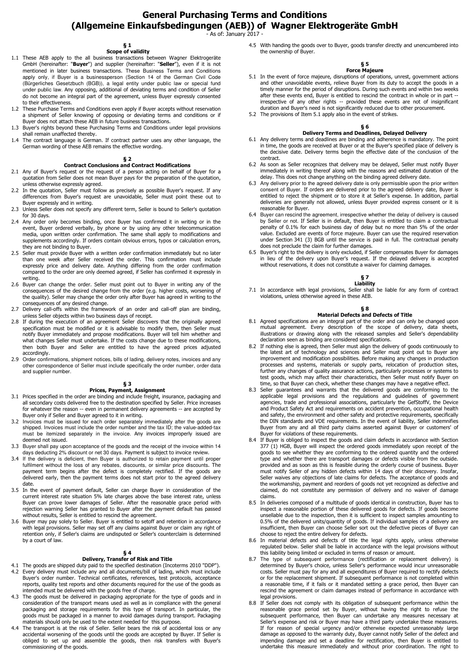# **General Purchasing Terms and Conditions (Allgemeine Einkaufsbedingungen (AEB)) of Wagner Elektrogeräte GmbH**

- As of: January 2017 -

### **§ 1 Scope of validity**

- 1.1 These AEB apply to the all business transactions between Wagner Elektrogeräte GmbH (hereinafter: "**Buyer**") and supplier (hereinafter: "**Seller**"), even if it is not mentioned in later business transactions. These Business Terms and Conditions apply only, if Buyer is a businessperson (Section 14 of the German Civil Code (Bürgerliches Gesetzbuch (BGB)), a legal entity under public law or special fund under public law. Any opposing, additional of deviating terms and condition of Seller do not become an integral part of the agreement, unless Buyer expressly consented to their effectiveness.
- 1.2 These Purchase Terms and Conditions even apply if Buyer accepts without reservation a shipment of Seller knowing of opposing or deviating terms and conditions or if Buyer does not attach these AEB in future business transactions.
- 1.3 Buyer's rights beyond these Purchasing Terms and Conditions under legal provisions shall remain unaffected thereby.
- 1.4 The contract language is German. If contract partner uses any other language, the German wording of these AEB remains the effective wording.

## **§ 2**

## **Contract Conclusions and Contract Modifications**

- 2.1 Any of Buyer's request or the request of a person acting on behalf of Buyer for a quotation from Seller does not mean Buyer pays for the preparation of the quotation, unless otherwise expressly agreed.
- 2.2 In the quotation, Seller must follow as precisely as possible Buyer's request. If any differences from Buyer's request are unavoidable, Seller must point these out to Buyer expressly and in writing.
- 2.3 Unless Seller does not specify any different term, Seller is bound to Seller's quotation for 30 days.
- 2.4 Any order only becomes binding, once Buyer has confirmed it in writing or in the event, Buyer ordered verbally, by phone or by using any other telecommunication media, upon written order confirmation. The same shall apply to modifications and supplements accordingly. If orders contain obvious errors, typos or calculation errors, they are not binding to Buyer.
- 2.5 Seller must provide Buyer with a written order confirmation immediately but no later than one week after Seller received the order. This confirmation must include expressly price and delivery date. Anything differing from the order confirmation compared to the order are only deemed agreed, if Seller has confirmed it expressly in writing.
- 2.6 Buyer can change the order. Seller must point out to Buyer in writing any of the consequences of the desired change from the order (e.g. higher costs, worsening of the quality). Seller may change the order only after Buyer has agreed in writing to the consequences of any desired change.
- 2.7 Delivery call-offs within the framework of an order and call-off plan are binding, unless Seller objects within two business days of receipt.
- 2.8 If during the execution of an agreement Seller discovers that the originally agreed specification must be modified or it is advisable to modify them, then Seller must notify Buyer immediately and propose modifications. Buyer will tell him whether and what changes Seller must undertake. If the costs change due to these modifications, then both Buyer and Seller are entitled to have the agreed prices adjusted accordingly.
- 2.9 Order confirmations, shipment notices, bills of lading, delivery notes, invoices and any other correspondence of Seller must include specifically the order number, order data and supplier number.

# **§ 3 Prices, Payment, Assignment**

- 3.1 Prices specified in the order are binding and include freight, insurance, packaging and all secondary costs delivered free to the destination specified by Seller. Price increases for whatever the reason -- even in permanent delivery agreements -- are accepted by Buyer only if Seller and Buyer agreed to it in writing.
- 3.2 Invoices must be issued for each order separately immediately after the goods are shipped. Invoices must include the order number and the tax ID; the value-added-tax must be itemized separately in the invoice. Any invoices improperly issued are deemed not issued.
- 3.3 Buyer shall pay upon acceptance of the goods and the receipt of the invoice within 14 days deducting 2% discount or net 30 days. Payment is subject to invoice review.
- 3.4 If the delivery is deficient, then Buyer is authorized to retain payment until proper fulfilment without the loss of any rebates, discounts, or similar price discounts. The payment term begins after the defect is completely rectified. If the goods are delivered early, then the payment terms does not start prior to the agreed delivery date.
- 3.5 In the event of payment default, Seller can charge Buyer in consideration of the current interest rate situation 5% late charges above the base interest rate, unless Buyer can prove lower damages of Seller. After the reasonable grace period with rejection warning Seller has granted to Buyer after the payment default has passed without results, Seller is entitled to rescind the agreement.
- 3.6 Buyer may pay solely to Seller. Buyer is entitled to setoff and retention in accordance with legal provisions. Seller may set off any claims against Buyer or claim any right of retention only, if Seller's claims are undisputed or Seller's counterclaim is determined by a court of law.

## **§ 4**

## **Delivery, Transfer of Risk and Title**

- 4.1 The goods are shipped duty paid to the specified destination (Incoterms 2010 "DDP").<br>4.2 Every delivery must include any and all documents/bill of lading, which must include<br>Buyer's order number. Technical certificates reports, quality test reports and other documents required for the use of the goods as intended must be delivered with the goods free of charge.
- 4.3 The goods must be delivered in packaging appropriate for the type of goods and in consideration of the transport means used as well as in compliance with the general packaging and storage requirements for this type of transport. In particular, the goods must be packaged in a manner to avoid damages during transport. Packaging materials should only be used to the extent needed for this purpose.
- 4.4 The transport is at the risk of Seller. Seller bears the risk of accidental loss or any accidental worsening of the goods until the goods are accepted by Buyer. If Seller is obliged to set up and assemble the goods, then risk transfers with Buyer's commissioning of the goods.

4.5 With handing the goods over to Buyer, goods transfer directly and unencumbered into the ownership of Buyer.

# **§ 5 Force Majeure**

- 5.1 In the event of force majeure, disruptions of operations, unrest, government actions and other unavoidable events, relieve Buyer from its duty to accept the goods in a timely manner for the period of disruptions. During such events and within two weeks after these events end, Buyer is entitled to rescind the contract in whole or in part -- irrespective of any other rights -- provided these events are not of insignificant duration and Buyer's need is not significantly reduced due to other procurement.
- 5.2 The provisions of Item 5.1 apply also in the event of strikes.

## **§ 6**

- **Delivery Terms and Deadlines, Delayed Delivery**<br>6.1 Any delivery terms and deadlines are binding and adherence is mandatory. The point in time, the goods are received at Buyer or at the Buyer's specified place of delivery is the decisive date. Delivery terms begin the effective date of the conclusion of the contract.
- 6.2 As soon as Seller recognizes that delivery may be delayed, Seller must notify Buyer immediately in writing thereof along with the reasons and estimated duration of the delay. This does not change anything on the binding agreed delivery date.
- 6.3 Any delivery prior to the agreed delivery date is only permissible upon the prior written consent of Buyer. If orders are delivered prior to the agreed delivery date, Buyer is entitled to reject the shipment or to store it at Seller's expense. In addition, partial deliveries are generally not allowed, unless Buyer provided express consent or it is reasonable for Buyer.
- 6.4 Buyer can rescind the agreement, irrespective whether the delay of delivery is caused by Seller or not. If Seller is in default, then Buyer is entitled to claim a contractual penalty of 0.1% for each business day of delay but no more than 5% of the order value. Excluded are events of force majeure. Buyer can use the required reservation under Section 341 (3) BGB until the service is paid in full. The contractual penalty does not preclude the claim for further damages.
- 6.5 Buyer's right to the delivery is only excluded, if Seller compensates Buyer for damages in lieu of the delivery upon Buyer's request. If the delayed delivery is accepted without reservations, it does not constitute a waiver for claiming damages.

# **§ 7 Liability**

7.1 In accordance with legal provisions, Seller shall be liable for any form of contract violations, unless otherwise agreed in these AEB.

- **§ 8**<br>**Material Defects and Defects of Title**<br>8.1 Agreed specifications are an integral part of the order and can only be changed upon mutual agreement. Every description of the scope of delivery, data sheets, illustrations or drawing along with the released samples and Seller's dependability declaration seen as binding are considered specifications.
- 8.2 If nothing else is agreed, then Seller must align the delivery of goods continuously to the latest art of technology and sciences and Seller must point out to Buyer any improvement and modification possibilities. Before making any changes in production processes and systems, materials or supply parts, relocation of production sites, further any changes of quality assurance actions, particularly processes or systems to test goods, which may affect their characteristics, then Seller must notify Buyer on<br>time, so that Buyer can check, whether these changes may have a negative effect.<br>8.3 Seller guarantees and warrants that the delivered go
- applicable legal provisions and the regulations and guidelines of government agencies, trade and professional associations, particularly the GefStoffV, the Device and Product Safety Act and requirements on accident prevention, occupational health and safety, the environment and other safety and protective requirements, specifically the DIN standards and VDE requirements. In the event of liability, Seller indemnifies Buyer from any and all third party claims asserted against Buyer or customers' of Buyer for violations of these requirements.
- 8.4 If Buyer is obliged to inspect the goods and claim defects in accordance with Section 377 (1) HGB, Buyer will inspect the ordered goods immediately upon receipt of the goods to see whether they are conforming to the ordered quantity and the ordered type and whether there are transport damages or defects visible from the outside. provided and as soon as this is feasible during the orderly course of business. Buyer must notify Seller of any hidden defects within 14 days of their discovery. Insofar,<br>Seller waives any objections of late claims for defects. The acceptance of goods and the workmanship, payment and reorders of goods not yet recognized as defective and claimed, do not constitute any permission of delivery and no waiver of damage claims.
- 8.5 In deliveries composed of a multitude of goods identical in construction, Buyer has to inspect a reasonable portion of these delivered goods for defects. If goods become unsellable due to the inspection, then it is sufficient to inspect samples amounting to 0.5% of the delivered units/quantity of goods. If individual samples of a delivery are insufficient, then Buyer can choose Seller sort out the defective pieces of Buyer can
- choose to reject the entire delivery for defects. 8.6 In material defects and defects of title the legal rights apply, unless otherwise regulated below. Seller shall be liable in accordance with the legal provisions without this liability being limited or excluded in terms of reason or amount.
- 8.7 The type of subsequent performance (rectification or replacement delivery) is determined by Buyer's choice, unless Seller's performance would incur unreasonable costs. Seller must pay for any and all expenditures of Buyer required to rectify defects or for the replacement shipment. If subsequent performance is not completed within a reasonable time, if it fails or it mandated setting a grace period, then Buyer can rescind the agreement or claim damages instead of performance in accordance with legal provisions.
- 8.8 If Seller does not comply with its obligation of subsequent performance within the reasonable grace period set by Buyer, without having the right to refuse the subsequent performance, then Buyer can undertake any measures necessary at Seller's expense and risk or Buyer may have a third party undertake these measures.<br>If for reason of special urgency and/or otherwise expected unreasonably large<br>damage as opposed to the warranty duty, Buyer cannot impending damage and set a deadline for rectification, then Buyer is entitled to undertake this measure immediately and without prior coordination. The right to